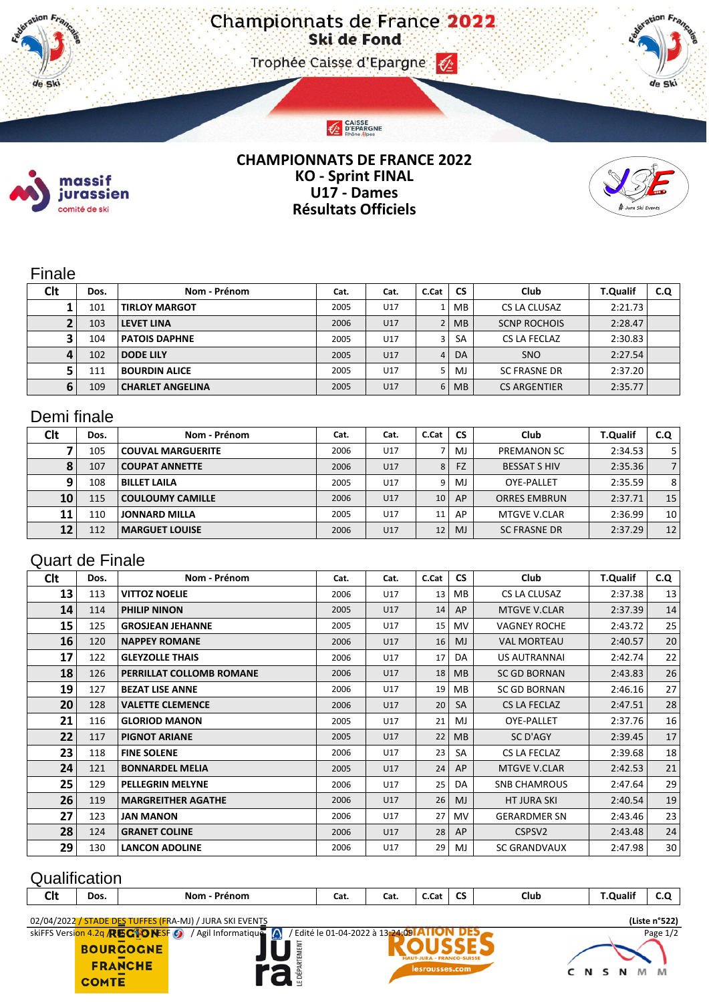CAISSE<br>D'EPARGNE

de Ski



ΤΙ.

de Ski

#### **CHAMPIONNATS DE FRANCE 2022 KO - Sprint FINAL U17 - Dames Résultats Officiels**



## Finale

| Clt | Dos. | Nom - Prénom            | Cat. | Cat. | C.Cat | <b>CS</b> | Club                | <b>T.Qualif</b> | C.Q |
|-----|------|-------------------------|------|------|-------|-----------|---------------------|-----------------|-----|
|     | 101  | <b>TIRLOY MARGOT</b>    | 2005 | U17  |       | <b>MB</b> | CS LA CLUSAZ        | 2:21.73         |     |
|     | 103  | <b>LEVET LINA</b>       | 2006 | U17  |       | <b>MB</b> | <b>SCNP ROCHOIS</b> | 2:28.47         |     |
|     | 104  | <b>PATOIS DAPHNE</b>    | 2005 | U17  | 3     | <b>SA</b> | CS LA FECLAZ        | 2:30.83         |     |
|     | 102  | <b>DODE LILY</b>        | 2005 | U17  | 4     | DA        | <b>SNO</b>          | 2:27.54         |     |
|     | 111  | <b>BOURDIN ALICE</b>    | 2005 | U17  |       | M.        | <b>SC FRASNE DR</b> | 2:37.20         |     |
|     | 109  | <b>CHARLET ANGELINA</b> | 2005 | U17  | 6     | <b>MB</b> | <b>CS ARGENTIER</b> | 2:35.77         |     |

# Demi finale

| <b>Clt</b> | Dos. | Nom - Prénom             | Cat. | Cat. | C.Cat | <b>CS</b> | Club                | <b>T.Qualif</b> | C.Q |
|------------|------|--------------------------|------|------|-------|-----------|---------------------|-----------------|-----|
|            | 105  | <b>COUVAL MARGUERITE</b> | 2006 | U17  |       | MJ        | <b>PREMANON SC</b>  | 2:34.53         |     |
|            | 107  | <b>COUPAT ANNETTE</b>    | 2006 | U17  | 8     | <b>FZ</b> | <b>BESSAT S HIV</b> | 2:35.36         |     |
| 9          | 108  | <b>BILLET LAILA</b>      | 2005 | U17  | 9     | MJ.       | OYE-PALLET          | 2:35.59         | 8   |
| 10         | 115  | COULOUMY CAMILLE         | 2006 | U17  | 10    | AP        | <b>ORRES EMBRUN</b> | 2:37.71         | 15  |
| 11         | 110  | <b>JONNARD MILLA</b>     | 2005 | U17  | 11    | AP        | MTGVE V.CLAR        | 2:36.99         | 10  |
| 12         | 112  | <b>MARGUET LOUISE</b>    | 2006 | U17  | 12    | <b>MJ</b> | <b>SC FRASNE DR</b> | 2:37.29         | 12  |

## Quart de Finale

| Clt | Dos. | Nom - Prénom              | Cat. | Cat. | C.Cat | <b>CS</b>      | <b>Club</b>         | <b>T.Qualif</b> | C.Q |
|-----|------|---------------------------|------|------|-------|----------------|---------------------|-----------------|-----|
| 13  | 113  | <b>VITTOZ NOELIE</b>      | 2006 | U17  | 13    | MB.            | CS LA CLUSAZ        | 2:37.38         | 13  |
| 14  | 114  | <b>PHILIP NINON</b>       | 2005 | U17  | 14    | AP             | <b>MTGVE V.CLAR</b> | 2:37.39         | 14  |
| 15  | 125  | <b>GROSJEAN JEHANNE</b>   | 2005 | U17  | 15    | MV.            | <b>VAGNEY ROCHE</b> | 2:43.72         | 25  |
| 16  | 120  | <b>NAPPEY ROMANE</b>      | 2006 | U17  | 16    | <b>MJ</b>      | <b>VAL MORTEAU</b>  | 2:40.57         | 20  |
| 17  | 122  | <b>GLEYZOLLE THAIS</b>    | 2006 | U17  | 17    | DA             | US AUTRANNAI        | 2:42.74         | 22  |
| 18  | 126  | PERRILLAT COLLOMB ROMANE  | 2006 | U17  | 18    | M <sub>B</sub> | <b>SC GD BORNAN</b> | 2:43.83         | 26  |
| 19  | 127  | <b>BEZAT LISE ANNE</b>    | 2006 | U17  | 19    | MВ             | <b>SC GD BORNAN</b> | 2:46.16         | 27  |
| 20  | 128  | <b>VALETTE CLEMENCE</b>   | 2006 | U17  | 20    | SA             | CS LA FECLAZ        | 2:47.51         | 28  |
| 21  | 116  | <b>GLORIOD MANON</b>      | 2005 | U17  | 21    | MJ             | OYE-PALLET          | 2:37.76         | 16  |
| 22  | 117  | <b>PIGNOT ARIANE</b>      | 2005 | U17  | 22    | M <sub>B</sub> | SC D'AGY            | 2:39.45         | 17  |
| 23  | 118  | <b>FINE SOLENE</b>        | 2006 | U17  | 23    | SA             | CS LA FECLAZ        | 2:39.68         | 18  |
| 24  | 121  | <b>BONNARDEL MELIA</b>    | 2005 | U17  | 24    | AP             | <b>MTGVE V.CLAR</b> | 2:42.53         | 21  |
| 25  | 129  | <b>PELLEGRIN MELYNE</b>   | 2006 | U17  | 25    | DA             | <b>SNB CHAMROUS</b> | 2:47.64         | 29  |
| 26  | 119  | <b>MARGREITHER AGATHE</b> | 2006 | U17  | 26    | MJ             | HT JURA SKI         | 2:40.54         | 19  |
| 27  | 123  | <b>JAN MANON</b>          | 2006 | U17  | 27    | MV.            | <b>GERARDMER SN</b> | 2:43.46         | 23  |
| 28  | 124  | <b>GRANET COLINE</b>      | 2006 | U17  | 28    | AP             | CSPSV <sub>2</sub>  | 2:43.48         | 24  |
| 29  | 130  | <b>LANCON ADOLINE</b>     | 2006 | U17  | 29    | MJ             | <b>SC GRANDVAUX</b> | 2:47.98         | 30  |

## **Qualification**

| $\sim$ 1.<br>--- | Dos. | Nom<br>Prénom                                                                                                   | cat. | Cal. | C.Cat | $\sim$<br> | Club | <b>T.Qualif</b>                           |  |
|------------------|------|-----------------------------------------------------------------------------------------------------------------|------|------|-------|------------|------|-------------------------------------------|--|
|                  |      | the contract of the contract of the contract of the contract of the contract of the contract of the contract of |      |      |       |            |      | $\sim$ $\sim$ $\sim$ $\sim$ $\sim$ $\sim$ |  |

E DÉPARTEMENT

02/04/2022 / STADE DES TUFFES (FRA-MJ) / JURA SKI EVENTS **(Liste n°522)**

**BOURGOGNE** 

**FRANCHE COMTE**